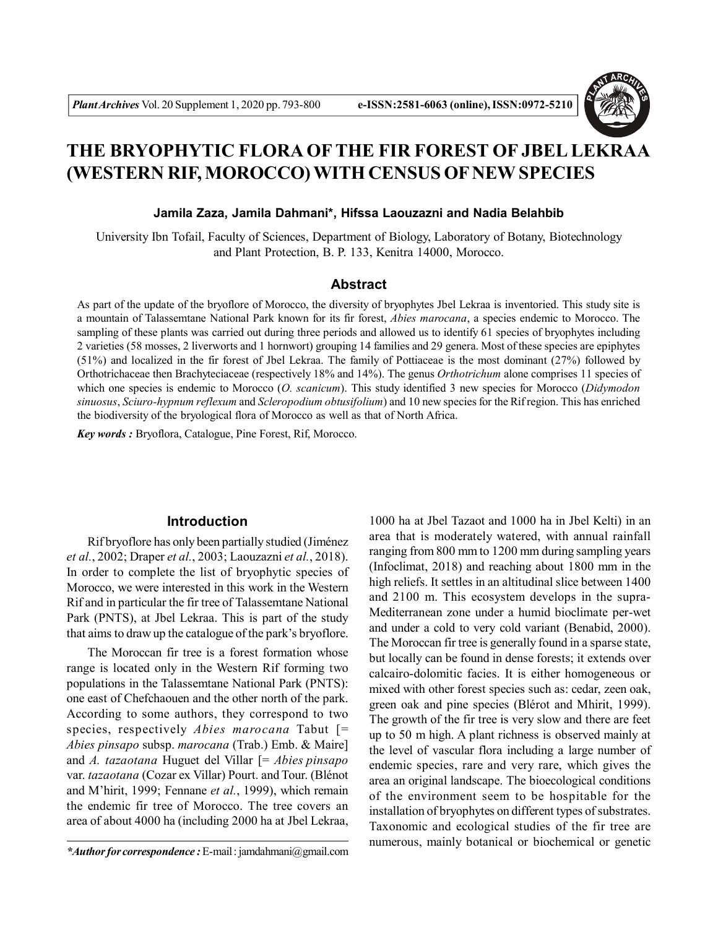

# **THE BRYOPHYTIC FLORA OFTHE FIR FOREST OF JBEL LEKRAA (WESTERN RIF, MOROCCO) WITH CENSUS OF NEW SPECIES**

## **Jamila Zaza, Jamila Dahmani\*, Hifssa Laouzazni and Nadia Belahbib**

University Ibn Tofail, Faculty of Sciences, Department of Biology, Laboratory of Botany, Biotechnology and Plant Protection, B. P. 133, Kenitra 14000, Morocco.

# **Abstract**

As part of the update of the bryoflore of Morocco, the diversity of bryophytes Jbel Lekraa is inventoried. This study site is a mountain of Talassemtane National Park known for its fir forest, *Abies marocana*, a species endemic to Morocco. The sampling of these plants was carried out during three periods and allowed us to identify 61 species of bryophytes including 2 varieties (58 mosses, 2 liverworts and 1 hornwort) grouping 14 families and 29 genera. Most of these species are epiphytes (51%) and localized in the fir forest of Jbel Lekraa. The family of Pottiaceae is the most dominant (27%) followed by Orthotrichaceae then Brachyteciaceae (respectively 18% and 14%). The genus *Orthotrichum* alone comprises 11 species of which one species is endemic to Morocco (*O. scanicum*). This study identified 3 new species for Morocco (*Didymodon sinuosus*, *Sciuro-hypnum reflexum* and *Scleropodium obtusifolium*) and 10 new species for the Rif region. This has enriched the biodiversity of the bryological flora of Morocco as well as that of North Africa.

*Key words :* Bryoflora, Catalogue, Pine Forest, Rif, Morocco.

# **Introduction**

Rif bryoflore has only been partially studied (Jiménez *et al.*, 2002; Draper *et al.*, 2003; Laouzazni *et al.*, 2018). In order to complete the list of bryophytic species of Morocco, we were interested in this work in the Western Rif and in particular the fir tree of Talassemtane National Park (PNTS), at Jbel Lekraa. This is part of the study that aims to draw up the catalogue of the park's bryoflore.

The Moroccan fir tree is a forest formation whose range is located only in the Western Rif forming two populations in the Talassemtane National Park (PNTS): one east of Chefchaouen and the other north of the park. According to some authors, they correspond to two species, respectively *Abies marocana* Tabut [= *Abies pinsapo* subsp. *marocana* (Trab.) Emb. & Maire] and *A. tazaotana* Huguet del Villar [= *Abies pinsapo* var. *tazaotana* (Cozar ex Villar) Pourt. and Tour. (Blénot and M'hirit, 1999; Fennane *et al.*, 1999), which remain the endemic fir tree of Morocco. The tree covers an area of about 4000 ha (including 2000 ha at Jbel Lekraa,

1000 ha at Jbel Tazaot and 1000 ha in Jbel Kelti) in an area that is moderately watered, with annual rainfall ranging from 800 mm to 1200 mm during sampling years (Infoclimat, 2018) and reaching about 1800 mm in the high reliefs. It settles in an altitudinal slice between 1400 and 2100 m. This ecosystem develops in the supra-Mediterranean zone under a humid bioclimate per-wet and under a cold to very cold variant (Benabid, 2000). The Moroccan fir tree is generally found in a sparse state, but locally can be found in dense forests; it extends over calcairo-dolomitic facies. It is either homogeneous or mixed with other forest species such as: cedar, zeen oak, green oak and pine species (Blérot and Mhirit, 1999). The growth of the fir tree is very slow and there are feet up to 50 m high. A plant richness is observed mainly at the level of vascular flora including a large number of endemic species, rare and very rare, which gives the area an original landscape. The bioecological conditions of the environment seem to be hospitable for the installation of bryophytes on different types of substrates. Taxonomic and ecological studies of the fir tree are numerous, mainly botanical or biochemical or genetic

*<sup>\*</sup>Author for correspondence :* E-mail : jamdahmani@gmail.com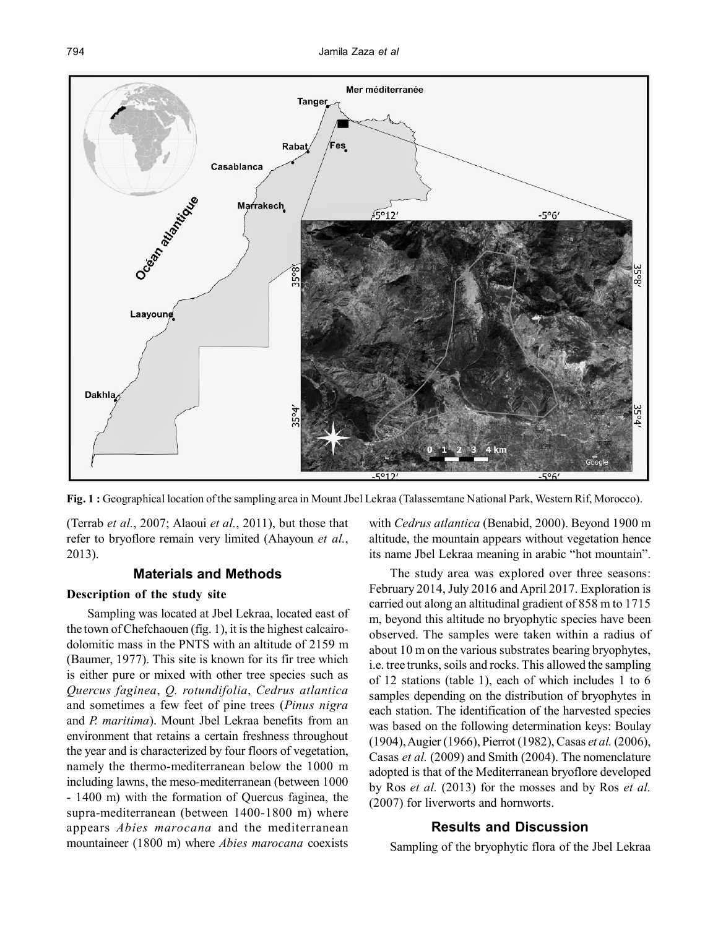

**Fig. 1 :** Geographical location of the sampling area in Mount Jbel Lekraa (Talassemtane National Park, Western Rif, Morocco).

(Terrab *et al.*, 2007; Alaoui *et al.*, 2011), but those that refer to bryoflore remain very limited (Ahayoun *et al.*, 2013).

# **Materials and Methods**

## **Description of the study site**

Sampling was located at Jbel Lekraa, located east of the town of Chefchaouen (fig. 1), it is the highest calcairodolomitic mass in the PNTS with an altitude of 2159 m (Baumer, 1977). This site is known for its fir tree which is either pure or mixed with other tree species such as *Quercus faginea*, *Q. rotundifolia*, *Cedrus atlantica* and sometimes a few feet of pine trees (*Pinus nigra* and *P. maritima*). Mount Jbel Lekraa benefits from an environment that retains a certain freshness throughout the year and is characterized by four floors of vegetation, namely the thermo-mediterranean below the 1000 m including lawns, the meso-mediterranean (between 1000 - 1400 m) with the formation of Quercus faginea, the supra-mediterranean (between 1400-1800 m) where appears *Abies marocana* and the mediterranean mountaineer (1800 m) where *Abies marocana* coexists

with *Cedrus atlantica* (Benabid, 2000). Beyond 1900 m altitude, the mountain appears without vegetation hence its name Jbel Lekraa meaning in arabic "hot mountain".

The study area was explored over three seasons: February 2014, July 2016 and April 2017. Exploration is carried out along an altitudinal gradient of 858 m to 1715 m, beyond this altitude no bryophytic species have been observed. The samples were taken within a radius of about 10 m on the various substrates bearing bryophytes, i.e. tree trunks, soils and rocks. This allowed the sampling of 12 stations (table 1), each of which includes 1 to 6 samples depending on the distribution of bryophytes in each station. The identification of the harvested species was based on the following determination keys: Boulay (1904), Augier (1966), Pierrot (1982), Casas *et al.* (2006), Casas *et al.* (2009) and Smith (2004). The nomenclature adopted is that of the Mediterranean bryoflore developed by Ros *et al.* (2013) for the mosses and by Ros *et al.* (2007) for liverworts and hornworts.

# **Results and Discussion**

Sampling of the bryophytic flora of the Jbel Lekraa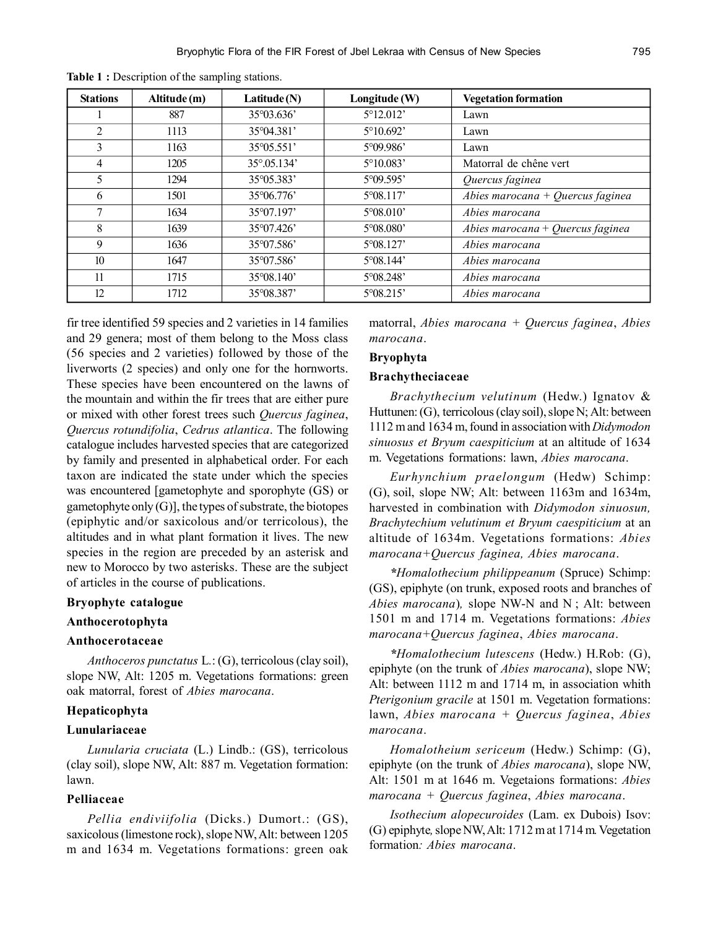| <b>Stations</b>  | Altitude (m) | Latitude $(N)$ | Longitude (W)      | <b>Vegetation formation</b>      |
|------------------|--------------|----------------|--------------------|----------------------------------|
|                  | 887          | 35°03.636'     | 5°12.012'          | Lawn                             |
| 2                | 1113         | 35°04.381'     | 5°10.692'          | Lawn                             |
| 3                | 1163         | 35°05.551'     | 5°09.986'          | Lawn                             |
| 4                | 1205         | 35° 05.134'    | $5^{\circ}10.083'$ | Matorral de chêne vert           |
| 5                | 1294         | 35°05.383'     | 5°09.595'          | Quercus faginea                  |
| 6                | 1501         | 35°06.776      | $5^{\circ}08.117'$ | Abies marocana + Quercus faginea |
|                  | 1634         | 35°07.197'     | 5°08.010'          | Abies marocana                   |
| 8                | 1639         | 35°07.426°     | 5°08.080           | Abies marocana + Quercus faginea |
| 9                | 1636         | 35°07.586      | 5°08.127'          | Abies marocana                   |
| 10 <sup>10</sup> | 1647         | 35°07.586'     | 5°08.144'          | Abies marocana                   |
| 11               | 1715         | 35°08.140'     | 5°08.248'          | Abies marocana                   |
| 12               | 1712         | 35°08.387'     | 5°08.215'          | Abies marocana                   |

Table 1 : Description of the sampling stations.

fir tree identified 59 species and 2 varieties in 14 families and 29 genera; most of them belong to the Moss class (56 species and 2 varieties) followed by those of the liverworts (2 species) and only one for the hornworts. These species have been encountered on the lawns of the mountain and within the fir trees that are either pure or mixed with other forest trees such *Quercus faginea*, *Quercus rotundifolia*, *Cedrus atlantica*. The following catalogue includes harvested species that are categorized by family and presented in alphabetical order. For each taxon are indicated the state under which the species was encountered [gametophyte and sporophyte (GS) or gametophyte only (G)], the types of substrate, the biotopes (epiphytic and/or saxicolous and/or terricolous), the altitudes and in what plant formation it lives. The new species in the region are preceded by an asterisk and new to Morocco by two asterisks. These are the subject of articles in the course of publications.

#### **Bryophyte catalogue**

# **Anthocerotophyta**

#### **Anthocerotaceae**

*Anthoceros punctatus* L*.*: (G), terricolous (clay soil), slope NW, Alt: 1205 m. Vegetations formations: green oak matorral, forest of *Abies marocana*.

## **Hepaticophyta**

#### **Lunulariaceae**

*Lunularia cruciata* (L.) Lindb.: (GS), terricolous (clay soil), slope NW, Alt: 887 m. Vegetation formation: lawn.

# **Pelliaceae**

*Pellia endiviifolia* (Dicks.) Dumort.: (GS), saxicolous (limestone rock), slope NW, Alt: between 1205 m and 1634 m. Vegetations formations: green oak matorral, *Abies marocana + Quercus faginea*, *Abies marocana*.

#### **Bryophyta**

#### **Brachytheciaceae**

*Brachythecium velutinum* (Hedw.) Ignatov & Huttunen: (G), terricolous (clay soil), slope N; Alt: between 1112 m and 1634 m, found in association with *Didymodon sinuosus et Bryum caespiticium* at an altitude of 1634 m. Vegetations formations: lawn, *Abies marocana*.

*Eurhynchium praelongum* (Hedw) Schimp: (G), soil, slope NW; Alt: between 1163m and 1634m, harvested in combination with *Didymodon sinuosun, Brachytechium velutinum et Bryum caespiticium* at an altitude of 1634m. Vegetations formations: *Abies marocana+Quercus faginea, Abies marocana*.

*\*Homalothecium philippeanum* (Spruce) Schimp: (GS), epiphyte (on trunk, exposed roots and branches of *Abies marocana*)*,* slope NW-N and N ; Alt: between 1501 m and 1714 m. Vegetations formations: *Abies marocana+Quercus faginea*, *Abies marocana*.

*\*Homalothecium lutescens* (Hedw.) H.Rob: (G), epiphyte (on the trunk of *Abies marocana*), slope NW; Alt: between 1112 m and 1714 m, in association whith *Pterigonium gracile* at 1501 m. Vegetation formations: lawn, *Abies marocana + Quercus faginea*, *Abies marocana*.

*Homalotheium sericeum* (Hedw.) Schimp: (G), epiphyte (on the trunk of *Abies marocana*), slope NW, Alt: 1501 m at 1646 m. Vegetaions formations: *Abies marocana + Quercus faginea*, *Abies marocana*.

*Isothecium alopecuroides* (Lam. ex Dubois) Isov: (G) epiphyte*,* slope NW, Alt: 1712 m at 1714 m*.* Vegetation formation*: Abies marocana*.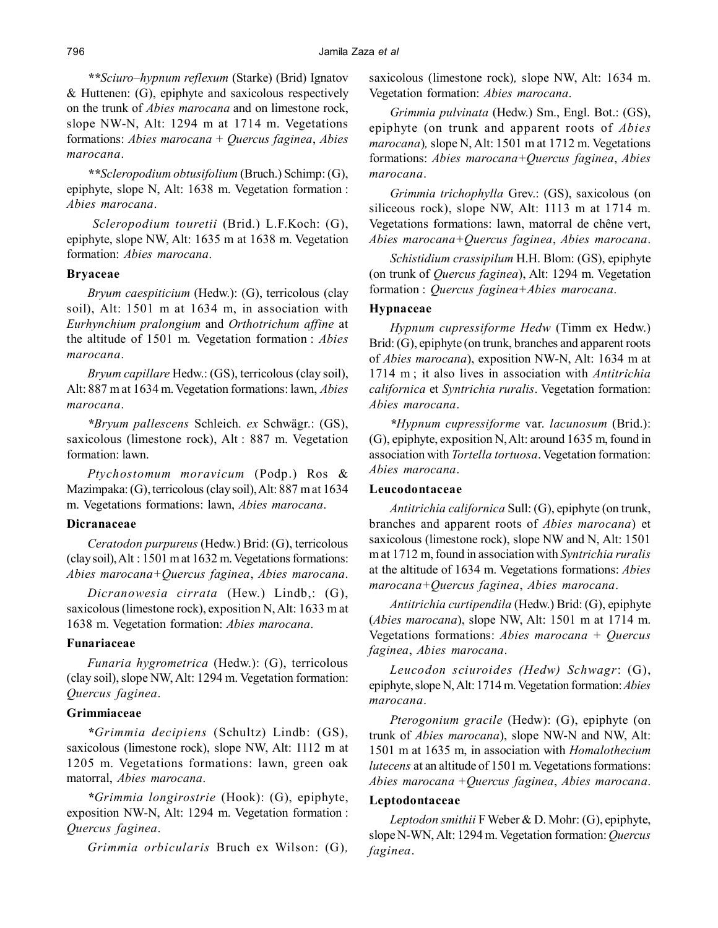*\*\*Sciuro–hypnum reflexum* (Starke) (Brid) Ignatov & Huttenen: (G), epiphyte and saxicolous respectively on the trunk of *Abies marocana* and on limestone rock, slope NW-N, Alt: 1294 m at 1714 m. Vegetations formations: *Abies marocana* + *Quercus faginea*, *Abies marocana*.

*\*\*Scleropodium obtusifolium* (Bruch.) Schimp: (G), epiphyte, slope N, Alt: 1638 m. Vegetation formation : *Abies marocana*.

 *Scleropodium touretii* (Brid.) L.F.Koch: (G), epiphyte, slope NW, Alt: 1635 m at 1638 m. Vegetation formation: *Abies marocana*.

#### **Bryaceae**

*Bryum caespiticium* (Hedw.): (G), terricolous (clay soil), Alt: 1501 m at 1634 m, in association with *Eurhynchium pralongium* and *Orthotrichum affine* at the altitude of 1501 m*.* Vegetation formation : *Abies marocana*.

*Bryum capillare* Hedw.: (GS), terricolous (clay soil), Alt: 887 m at 1634 m. Vegetation formations: lawn, *Abies marocana*.

*\*Bryum pallescens* Schleich. *ex* Schwägr.: (GS), saxicolous (limestone rock), Alt : 887 m. Vegetation formation: lawn.

*Ptychostomum moravicum* (Podp.) Ros & Mazimpaka: (G), terricolous (clay soil), Alt: 887 m at 1634 m. Vegetations formations: lawn, *Abies marocana*.

#### **Dicranaceae**

*Ceratodon purpureus* (Hedw.) Brid: (G), terricolous (clay soil), Alt : 1501 m at 1632 m. Vegetations formations: *Abies marocana+Quercus faginea*, *Abies marocana*.

*Dicranowesia cirrata* (Hew.) Lindb,: (G), saxicolous (limestone rock), exposition N, Alt: 1633 m at 1638 m. Vegetation formation: *Abies marocana*.

# **Funariaceae**

*Funaria hygrometrica* (Hedw.): (G), terricolous (clay soil), slope NW, Alt: 1294 m. Vegetation formation: *Quercus faginea*.

#### **Grimmiaceae**

*\*Grimmia decipiens* (Schultz) Lindb: (GS), saxicolous (limestone rock), slope NW, Alt: 1112 m at 1205 m. Vegetations formations: lawn, green oak matorral, *Abies marocana*.

*\*Grimmia longirostrie* (Hook): (G), epiphyte, exposition NW-N, Alt: 1294 m. Vegetation formation : *Quercus faginea*.

*Grimmia orbicularis* Bruch ex Wilson: (G)*,*

saxicolous (limestone rock)*,* slope NW, Alt: 1634 m. Vegetation formation: *Abies marocana*.

*Grimmia pulvinata* (Hedw.) Sm., Engl. Bot.: (GS), epiphyte (on trunk and apparent roots of *Abies marocana*)*,* slope N, Alt: 1501 m at 1712 m. Vegetations formations: *Abies marocana+Quercus faginea*, *Abies marocana*.

*Grimmia trichophylla* Grev.: (GS), saxicolous (on siliceous rock), slope NW, Alt: 1113 m at 1714 m. Vegetations formations: lawn, matorral de chêne vert, *Abies marocana+Quercus faginea*, *Abies marocana*.

*Schistidium crassipilum* H.H. Blom: (GS), epiphyte (on trunk of *Quercus faginea*), Alt: 1294 m. Vegetation formation : *Quercus faginea+Abies marocana*.

# **Hypnaceae**

*Hypnum cupressiforme Hedw* (Timm ex Hedw.) Brid: (G), epiphyte (on trunk, branches and apparent roots of *Abies marocana*), exposition NW-N, Alt: 1634 m at 1714 m ; it also lives in association with *Antitrichia californica* et *Syntrichia ruralis*. Vegetation formation: *Abies marocana*.

*\*Hypnum cupressiforme* var. *lacunosum* (Brid.): (G), epiphyte, exposition N, Alt: around 1635 m, found in association with *Tortella tortuosa*. Vegetation formation: *Abies marocana*.

# **Leucodontaceae**

*Antitrichia californica* Sull: (G), epiphyte (on trunk, branches and apparent roots of *Abies marocana*) et saxicolous (limestone rock), slope NW and N, Alt: 1501 m at 1712 m, found in association with *Syntrichia ruralis* at the altitude of 1634 m. Vegetations formations: *Abies marocana+Quercus faginea*, *Abies marocana*.

*Antitrichia curtipendila* (Hedw.) Brid: (G), epiphyte (*Abies marocana*), slope NW, Alt: 1501 m at 1714 m. Vegetations formations: *Abies marocana + Quercus faginea*, *Abies marocana*.

*Leucodon sciuroides (Hedw) Schwagr*: (G), epiphyte, slope N, Alt: 1714 m. Vegetation formation: *Abies marocana*.

*Pterogonium gracile* (Hedw): (G), epiphyte (on trunk of *Abies marocana*), slope NW-N and NW, Alt: 1501 m at 1635 m, in association with *Homalothecium lutecens* at an altitude of 1501 m. Vegetations formations: *Abies marocana +Quercus faginea*, *Abies marocana*.

## **Leptodontaceae**

*Leptodon smithii* F Weber & D. Mohr: (G), epiphyte, slope N-WN, Alt: 1294 m. Vegetation formation: *Quercus faginea*.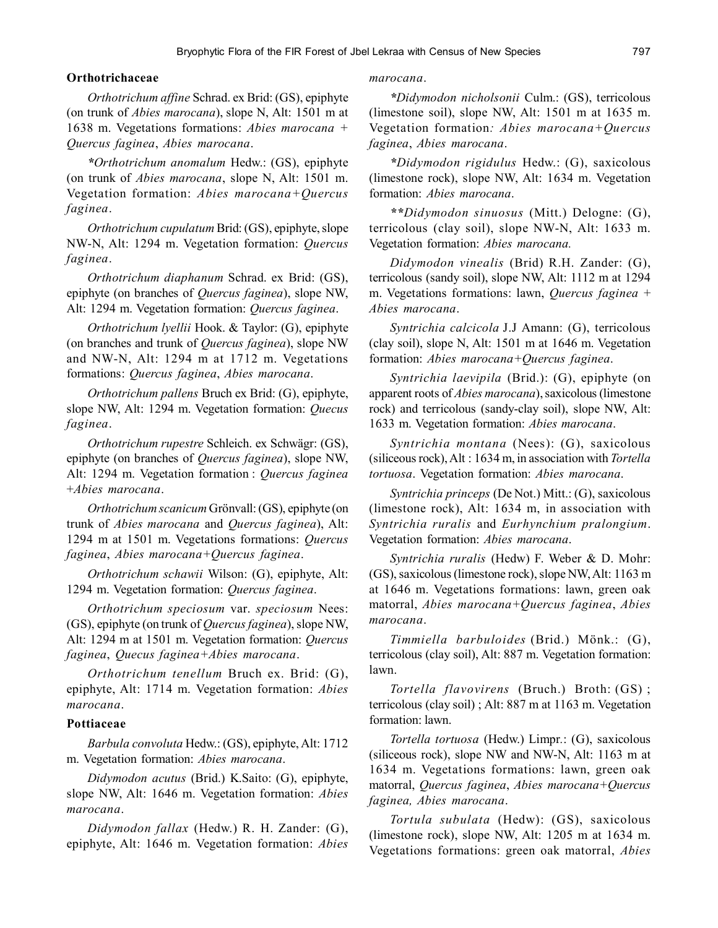# **Orthotrichaceae**

*Orthotrichum affine* Schrad. ex Brid: (GS), epiphyte (on trunk of *Abies marocana*), slope N, Alt: 1501 m at 1638 m. Vegetations formations: *Abies marocana + Quercus faginea*, *Abies marocana*.

*\*Orthotrichum anomalum* Hedw.: (GS), epiphyte (on trunk of *Abies marocana*, slope N, Alt: 1501 m. Vegetation formation: *Abies marocana+Quercus faginea*.

*Orthotrichum cupulatum* Brid: (GS), epiphyte, slope NW-N, Alt: 1294 m. Vegetation formation: *Quercus faginea*.

*Orthotrichum diaphanum* Schrad. ex Brid: (GS), epiphyte (on branches of *Quercus faginea*), slope NW, Alt: 1294 m. Vegetation formation: *Quercus faginea*.

*Orthotrichum lyellii* Hook. & Taylor: (G), epiphyte (on branches and trunk of *Quercus faginea*), slope NW and NW-N, Alt: 1294 m at 1712 m. Vegetations formations: *Quercus faginea*, *Abies marocana*.

*Orthotrichum pallens* Bruch ex Brid: (G), epiphyte, slope NW, Alt: 1294 m. Vegetation formation: *Quecus faginea*.

*Orthotrichum rupestre* Schleich. ex Schwägr: (GS), epiphyte (on branches of *Quercus faginea*), slope NW, Alt: 1294 m. Vegetation formation : *Quercus faginea* +*Abies marocana*.

*Orthotrichum scanicum* Grönvall: (GS), epiphyte (on trunk of *Abies marocana* and *Quercus faginea*), Alt: 1294 m at 1501 m. Vegetations formations: *Quercus faginea*, *Abies marocana+Quercus faginea*.

*Orthotrichum schawii* Wilson: (G), epiphyte, Alt: 1294 m. Vegetation formation: *Quercus faginea*.

*Orthotrichum speciosum* var. *speciosum* Nees: (GS), epiphyte (on trunk of *Quercus faginea*), slope NW, Alt: 1294 m at 1501 m. Vegetation formation: *Quercus faginea*, *Quecus faginea+Abies marocana*.

*Orthotrichum tenellum* Bruch ex. Brid: (G), epiphyte, Alt: 1714 m. Vegetation formation: *Abies marocana*.

#### **Pottiaceae**

*Barbula convoluta* Hedw.: (GS), epiphyte, Alt: 1712 m. Vegetation formation: *Abies marocana*.

*Didymodon acutus* (Brid.) K.Saito: (G), epiphyte, slope NW, Alt: 1646 m. Vegetation formation: *Abies marocana*.

*Didymodon fallax* (Hedw.) R. H. Zander: (G), epiphyte, Alt: 1646 m. Vegetation formation: *Abies*

## *marocana*.

*\*Didymodon nicholsonii* Culm.: (GS), terricolous (limestone soil), slope NW, Alt: 1501 m at 1635 m. Vegetation formation*: Abies marocana+Quercus faginea*, *Abies marocana*.

*\*Didymodon rigidulus* Hedw.: (G), saxicolous (limestone rock), slope NW, Alt: 1634 m. Vegetation formation: *Abies marocana*.

*\*\*Didymodon sinuosus* (Mitt.) Delogne: (G), terricolous (clay soil), slope NW-N, Alt: 1633 m. Vegetation formation: *Abies marocana.*

*Didymodon vinealis* (Brid) R.H. Zander: (G), terricolous (sandy soil), slope NW, Alt: 1112 m at 1294 m. Vegetations formations: lawn, *Quercus faginea* + *Abies marocana*.

*Syntrichia calcicola* J.J Amann: (G), terricolous (clay soil), slope N, Alt: 1501 m at 1646 m. Vegetation formation: *Abies marocana+Quercus faginea*.

*Syntrichia laevipila* (Brid.): (G), epiphyte (on apparent roots of *Abies marocana*), saxicolous (limestone rock) and terricolous (sandy-clay soil), slope NW, Alt: 1633 m. Vegetation formation: *Abies marocana*.

*Syntrichia montana* (Nees): (G), saxicolous (siliceous rock), Alt : 1634 m, in association with *Tortella tortuosa*. Vegetation formation: *Abies marocana*.

*Syntrichia princeps* (De Not.) Mitt.: (G), saxicolous (limestone rock), Alt: 1634 m, in association with *Syntrichia ruralis* and *Eurhynchium pralongium*. Vegetation formation: *Abies marocana*.

*Syntrichia ruralis* (Hedw) F. Weber & D. Mohr: (GS), saxicolous (limestone rock), slope NW, Alt: 1163 m at 1646 m. Vegetations formations: lawn, green oak matorral, *Abies marocana+Quercus faginea*, *Abies marocana*.

*Timmiella barbuloides* (Brid.) Mönk.: (G), terricolous (clay soil), Alt: 887 m. Vegetation formation: lawn.

*Tortella flavovirens* (Bruch.) Broth: (GS) ; terricolous (clay soil) ; Alt: 887 m at 1163 m. Vegetation formation: lawn.

*Tortella tortuosa* (Hedw.) Limpr*.*: (G), saxicolous (siliceous rock), slope NW and NW-N, Alt: 1163 m at 1634 m. Vegetations formations: lawn, green oak matorral, *Quercus faginea*, *Abies marocana+Quercus faginea, Abies marocana*.

*Tortula subulata* (Hedw): (GS), saxicolous (limestone rock), slope NW, Alt: 1205 m at 1634 m. Vegetations formations: green oak matorral, *Abies*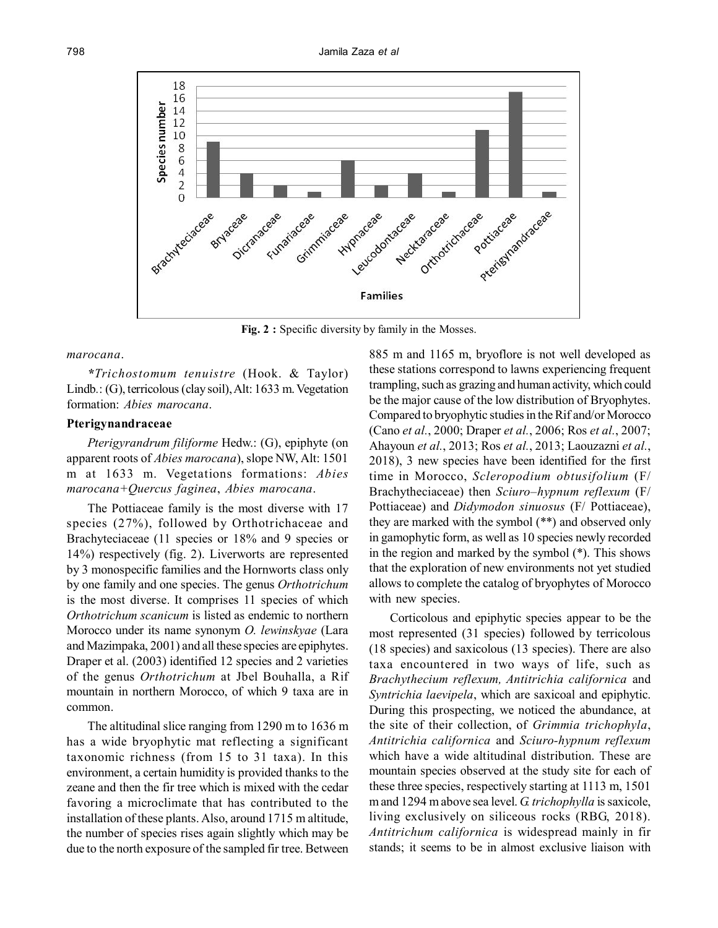

**Fig. 2 :** Specific diversity by family in the Mosses.

#### *marocana*.

*\*Trichostomum tenuistre* (Hook. & Taylor) Lindb*.*: (G), terricolous (clay soil), Alt: 1633 m. Vegetation formation: *Abies marocana*.

# **Pterigynandraceae**

*Pterigyrandrum filiforme* Hedw.: (G), epiphyte (on apparent roots of *Abies marocana*), slope NW, Alt: 1501 m at 1633 m. Vegetations formations: *Abies marocana+Quercus faginea*, *Abies marocana*.

The Pottiaceae family is the most diverse with 17 species (27%), followed by Orthotrichaceae and Brachyteciaceae (11 species or 18% and 9 species or 14%) respectively (fig. 2). Liverworts are represented by 3 monospecific families and the Hornworts class only by one family and one species. The genus *Orthotrichum* is the most diverse. It comprises 11 species of which *Orthotrichum scanicum* is listed as endemic to northern Morocco under its name synonym *O. lewinskyae* (Lara and Mazimpaka, 2001) and all these species are epiphytes. Draper et al. (2003) identified 12 species and 2 varieties of the genus *Orthotrichum* at Jbel Bouhalla, a Rif mountain in northern Morocco, of which 9 taxa are in common.

The altitudinal slice ranging from 1290 m to 1636 m has a wide bryophytic mat reflecting a significant taxonomic richness (from 15 to 31 taxa). In this environment, a certain humidity is provided thanks to the zeane and then the fir tree which is mixed with the cedar favoring a microclimate that has contributed to the installation of these plants. Also, around 1715 m altitude, the number of species rises again slightly which may be due to the north exposure of the sampled fir tree. Between

885 m and 1165 m, bryoflore is not well developed as these stations correspond to lawns experiencing frequent trampling, such as grazing and human activity, which could be the major cause of the low distribution of Bryophytes. Compared to bryophytic studies in the Rif and/or Morocco (Cano *et al.*, 2000; Draper *et al.*, 2006; Ros *et al.*, 2007; Ahayoun *et al.*, 2013; Ros *et al.*, 2013; Laouzazni *et al.*, 2018), 3 new species have been identified for the first time in Morocco, *Scleropodium obtusifolium* (F/ Brachytheciaceae) then *Sciuro–hypnum reflexum* (F/ Pottiaceae) and *Didymodon sinuosus* (F/ Pottiaceae), they are marked with the symbol (\*\*) and observed only in gamophytic form, as well as 10 species newly recorded in the region and marked by the symbol (\*). This shows that the exploration of new environments not yet studied allows to complete the catalog of bryophytes of Morocco with new species.

Corticolous and epiphytic species appear to be the most represented (31 species) followed by terricolous (18 species) and saxicolous (13 species). There are also taxa encountered in two ways of life, such as *Brachythecium reflexum, Antitrichia californica* and *Syntrichia laevipela*, which are saxicoal and epiphytic. During this prospecting, we noticed the abundance, at the site of their collection, of *Grimmia trichophyla*, *Antitrichia californica* and *Sciuro-hypnum reflexum* which have a wide altitudinal distribution. These are mountain species observed at the study site for each of these three species, respectively starting at 1113 m, 1501 m and 1294 m above sea level. *G. trichophylla* is saxicole, living exclusively on siliceous rocks (RBG, 2018). *Antitrichum californica* is widespread mainly in fir stands; it seems to be in almost exclusive liaison with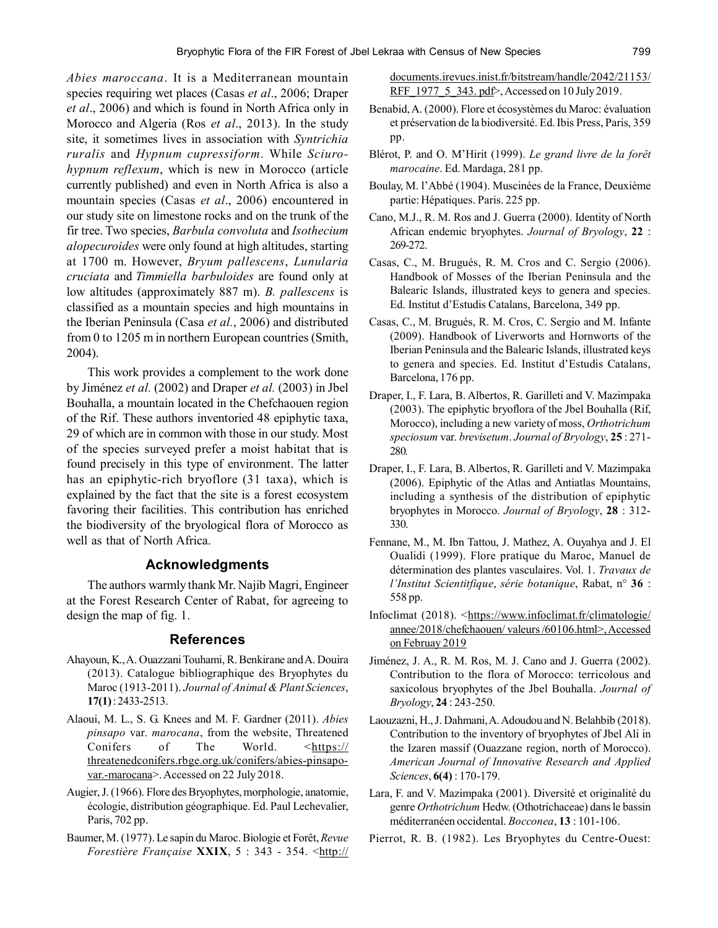*Abies maroccana*. It is a Mediterranean mountain species requiring wet places (Casas *et al*., 2006; Draper *et al*., 2006) and which is found in North Africa only in Morocco and Algeria (Ros *et al*., 2013). In the study site, it sometimes lives in association with *Syntrichia ruralis* and *Hypnum cupressiform*. While *Sciurohypnum reflexum*, which is new in Morocco (article currently published) and even in North Africa is also a mountain species (Casas *et al*., 2006) encountered in our study site on limestone rocks and on the trunk of the fir tree. Two species, *Barbula convoluta* and *Isothecium alopecuroides* were only found at high altitudes, starting at 1700 m. However, *Bryum pallescens*, *Lunularia cruciata* and *Timmiella barbuloides* are found only at low altitudes (approximately 887 m). *B. pallescens* is classified as a mountain species and high mountains in the Iberian Peninsula (Casa *et al.*, 2006) and distributed from 0 to 1205 m in northern European countries (Smith, 2004).

This work provides a complement to the work done by Jiménez *et al.* (2002) and Draper *et al.* (2003) in Jbel Bouhalla, a mountain located in the Chefchaouen region of the Rif. These authors inventoried 48 epiphytic taxa, 29 of which are in common with those in our study. Most of the species surveyed prefer a moist habitat that is found precisely in this type of environment. The latter has an epiphytic-rich bryoflore (31 taxa), which is explained by the fact that the site is a forest ecosystem favoring their facilities. This contribution has enriched the biodiversity of the bryological flora of Morocco as well as that of North Africa.

# **Acknowledgments**

The authors warmly thank Mr. Najib Magri, Engineer at the Forest Research Center of Rabat, for agreeing to design the map of fig. 1.

#### **References**

- Ahayoun, K., A. Ouazzani Touhami, R. Benkirane and A. Douira (2013). Catalogue bibliographique des Bryophytes du Maroc (1913-2011). *Journal of Animal & Plant Sciences*, **17(1)** : 2433-2513.
- Alaoui, M. L., S. G. Knees and M. F. Gardner (2011). *Abies pinsapo* var. *marocana*, from the website, Threatened Conifers of The World. <https:// threatenedconifers.rbge.org.uk/conifers/abies-pinsapovar.-marocana>. Accessed on 22 July 2018.
- Augier, J. (1966). Flore des Bryophytes, morphologie, anatomie, écologie, distribution géographique. Ed. Paul Lechevalier, Paris, 702 pp.
- Baumer, M. (1977). Le sapin du Maroc. Biologie et Forêt, *Revue Forestière Française XXIX, 5 : 343 - 354. <http://*

documents.irevues.inist.fr/bitstream/handle/2042/21153/ RFF 1977 5 343. pdf>, Accessed on 10 July 2019.

- Benabid, A. (2000). Flore et écosystèmes du Maroc: évaluation et préservation de la biodiversité. Ed. Ibis Press, Paris, 359 pp.
- Blérot, P. and O. M'Hirit (1999). *Le grand livre de la forêt marocaine*. Ed. Mardaga, 281 pp.
- Boulay, M. l'Abbé (1904). Muscinées de la France, Deuxième partie: Hépatiques. Paris. 225 pp.
- Cano, M.J., R. M. Ros and J. Guerra (2000). Identity of North African endemic bryophytes. *Journal of Bryology*, **22** : 269-272.
- Casas, C., M. Brugués, R. M. Cros and C. Sergio (2006). Handbook of Mosses of the Iberian Peninsula and the Balearic Islands, illustrated keys to genera and species. Ed. Institut d'Estudis Catalans, Barcelona, 349 pp.
- Casas, C., M. Brugués, R. M. Cros, C. Sergio and M. Infante (2009). Handbook of Liverworts and Hornworts of the Iberian Peninsula and the Balearic Islands, illustrated keys to genera and species. Ed. Institut d'Estudis Catalans, Barcelona, 176 pp.
- Draper, I., F. Lara, B. Albertos, R. Garilleti and V. Mazimpaka (2003). The epiphytic bryoflora of the Jbel Bouhalla (Rif, Morocco), including a new variety of moss, *Orthotrichum speciosum* var. *brevisetum*. *Journal of Bryology*, **25** : 271- 280*.*
- Draper, I., F. Lara, B. Albertos, R. Garilleti and V. Mazimpaka (2006). Epiphytic of the Atlas and Antiatlas Mountains, including a synthesis of the distribution of epiphytic bryophytes in Morocco. *Journal of Bryology*, **28** : 312- 330.
- Fennane, M., M. Ibn Tattou, J. Mathez, A. Ouyahya and J. El Oualidi (1999). Flore pratique du Maroc, Manuel de détermination des plantes vasculaires. Vol. 1. *Travaux de l'Institut Scientitfique*, *série botanique*, Rabat, n° **36** : 558 pp.
- Infoclimat (2018). <https://www.infoclimat.fr/climatologie/ annee/2018/chefchaouen/ valeurs /60106.html>, Accessed on Februay 2019
- Jiménez, J. A., R. M. Ros, M. J. Cano and J. Guerra (2002). Contribution to the flora of Morocco: terricolous and saxicolous bryophytes of the Jbel Bouhalla. *Journal of Bryology*, **24** : 243-250.
- Laouzazni, H., J. Dahmani, A. Adoudou and N. Belahbib (2018). Contribution to the inventory of bryophytes of Jbel Ali in the Izaren massif (Ouazzane region, north of Morocco). *American Journal of Innovative Research and Applied Sciences*, **6(4)** : 170-179.
- Lara, F. and V. Mazimpaka (2001). Diversité et originalité du genre *Orthotrichum* Hedw. (Othotrichaceae) dans le bassin méditerranéen occidental. *Bocconea*, **13** : 101-106.
- Pierrot, R. B. (1982). Les Bryophytes du Centre-Ouest: